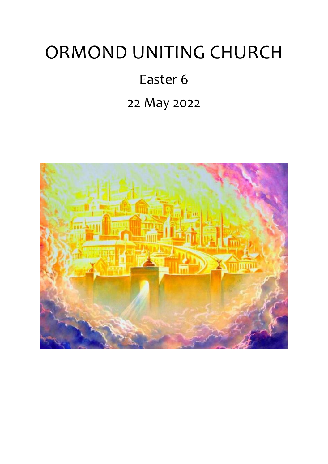# ORMOND UNITING CHURCH

## Easter 6

## 22 May 2022

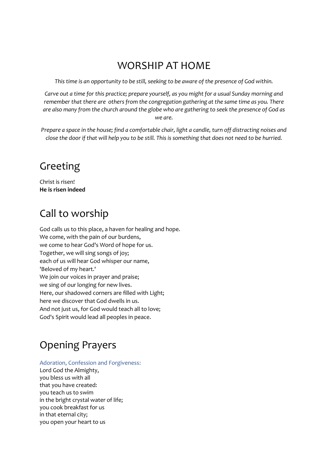### WORSHIP AT HOME

*This time is an opportunity to be still, seeking to be aware of the presence of God within.*

*Carve out a time for this practice; prepare yourself, as you might for a usual Sunday morning and remember that there are others from the congregation gathering at the same time as you. There are also many from the church around the globe who are gathering to seek the presence of God as we are.*

*Prepare a space in the house; find a comfortable chair, light a candle, turn off distracting noises and close the door if that will help you to be still. This is something that does not need to be hurried.*

### Greeting

Christ is risen! **He is risen indeed**

### Call to worship

God calls us to this place, a haven for healing and hope. We come, with the pain of our burdens, we come to hear God's Word of hope for us. Together, we will sing songs of joy; each of us will hear God whisper our name, 'Beloved of my heart.' We join our voices in prayer and praise; we sing of our longing for new lives. Here, our shadowed corners are filled with Light; here we discover that God dwells in us. And not just us, for God would teach all to love; God's Spirit would lead all peoples in peace.

### Opening Prayers

#### Adoration, Confession and Forgiveness:

Lord God the Almighty, you bless us with all that you have created: you teach us to swim in the bright crystal water of life; you cook breakfast for us in that eternal city; you open your heart to us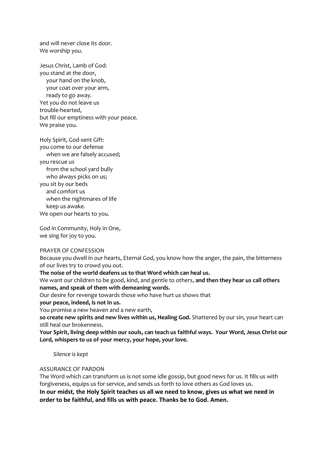and will never close its door. We worship you.

Jesus Christ, Lamb of God: you stand at the door, your hand on the knob, your coat over your arm, ready to go away. Yet you do not leave us trouble-hearted, but fill our emptiness with your peace. We praise you.

Holy Spirit, God-sent Gift: you come to our defense when we are falsely accused; you rescue us from the school yard bully who always picks on us; you sit by our beds and comfort us when the nightmares of life keep us awake. We open our hearts to you.

God in Community, Holy in One, we sing for joy to you.

#### PRAYER OF CONFESSION

Because you dwell in our hearts, Eternal God, you know how the anger, the pain, the bitterness of our lives try to crowd you out.

**The noise of the world deafens us to that Word which can heal us.** 

We want our children to be good, kind, and gentle to others, **and then they hear us call others names, and speak of them with demeaning words.** 

Our desire for revenge towards those who have hurt us shows that

**your peace, indeed, is not in us.**

You promise a new heaven and a new earth,

**so create new spirits and new lives within us, Healing God.** Shattered by our sin, your heart can still heal our brokenness.

**Your Spirit, living deep within our souls, can teach us faithful ways. Your Word, Jesus Christ our Lord, whispers to us of your mercy, your hope, your love.**

 *Silence is kept*

#### ASSURANCE OF PARDON

The Word which can transform us is not some idle gossip, but good news for us. It fills us with forgiveness, equips us for service, and sends us forth to love others as God loves us. **In our midst, the Holy Spirit teaches us all we need to know, gives us what we need in order to be faithful, and fills us with peace. Thanks be to God. Amen.**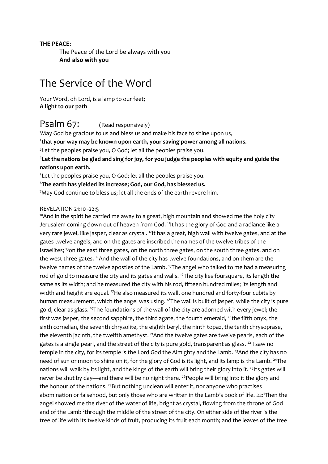#### **THE PEACE:**

The Peace of the Lord be always with you **And also with you**

#### The Service of the Word

Your Word, oh Lord, is a lamp to our feet; **A light to our path**

#### Psalm 67: (Read responsively)

<sup>1</sup>May God be gracious to us and bless us and make his face to shine upon us, **2 that your way may be known upon earth, your saving power among all nations.** <sup>3</sup> Let the peoples praise you, O God; let all the peoples praise you.

**<sup>4</sup>Let the nations be glad and sing for joy, for you judge the peoples with equity and guide the nations upon earth.** 

<sup>5</sup>Let the peoples praise you, O God; let all the peoples praise you.

**<sup>6</sup>The earth has yielded its increase; God, our God, has blessed us.**

<sup>7</sup>May God continue to bless us; let all the ends of the earth revere him.

#### REVELATION 21:10 -22:5

<sup>10</sup>And in the spirit he carried me away to a great, high mountain and showed me the holy city Jerusalem coming down out of heaven from God. <sup>11</sup>It has the glory of God and a radiance like a very rare jewel, like jasper, clear as crystal. <sup>12</sup>It has a great, high wall with twelve gates, and at the gates twelve angels, and on the gates are inscribed the names of the twelve tribes of the Israelites; <sup>13</sup>on the east three gates, on the north three gates, on the south three gates, and on the west three gates. <sup>14</sup>And the wall of the city has twelve foundations, and on them are the twelve names of the twelve apostles of the Lamb. <sup>15</sup>The angel who talked to me had a measuring rod of gold to measure the city and its gates and walls. <sup>16</sup>The city lies foursquare, its length the same as its width; and he measured the city with his rod, fifteen hundred miles; its length and width and height are equal. <sup>17</sup>He also measured its wall, one hundred and forty-four cubits by human measurement, which the angel was using. <sup>18</sup>The wall is built of jasper, while the city is pure gold, clear as glass. <sup>19</sup>The foundations of the wall of the city are adorned with every jewel; the first was jasper, the second sapphire, the third agate, the fourth emerald,  $20$ the fifth onyx, the sixth cornelian, the seventh chrysolite, the eighth beryl, the ninth topaz, the tenth chrysoprase, the eleventh jacinth, the twelfth amethyst. <sup>21</sup>And the twelve gates are twelve pearls, each of the gates is a single pearl, and the street of the city is pure gold, transparent as glass.  $^{22}$  I saw no temple in the city, for its temple is the Lord God the Almighty and the Lamb. <sup>23</sup>And the city has no need of sun or moon to shine on it, for the glory of God is its light, and its lamp is the Lamb. <sup>24</sup>The nations will walk by its light, and the kings of the earth will bring their glory into it. <sup>25</sup>Its gates will never be shut by day—and there will be no night there. <sup>26</sup> People will bring into it the glory and the honour of the nations.<sup>27</sup>But nothing unclean will enter it, nor anyone who practises abomination or falsehood, but only those who are written in the Lamb's book of life. 22:<sup>1</sup>Then the angel showed me the river of the water of life, bright as crystal, flowing from the throne of God and of the Lamb<sup>2</sup>through the middle of the street of the city. On either side of the river is the tree of life with its twelve kinds of fruit, producing its fruit each month; and the leaves of the tree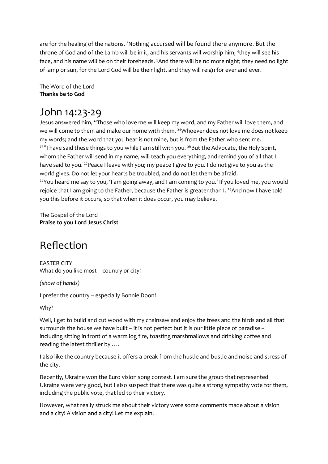are for the healing of the nations. <sup>3</sup>Nothing accursed will be found there anymore. But the throne of God and of the Lamb will be in it, and his servants will worship him; <sup>4</sup>they will see his face, and his name will be on their foreheads. <sup>5</sup>And there will be no more night; they need no light of lamp or sun, for the Lord God will be their light, and they will reign for ever and ever.

The Word of the Lord **Thanks be to God**

#### John 14:23-29

Jesus answered him, "Those who love me will keep my word, and my Father will love them, and we will come to them and make our home with them. <sup>24</sup>Whoever does not love me does not keep my words; and the word that you hear is not mine, but is from the Father who sent me.  $25$ "I have said these things to you while I am still with you.  $26$ But the Advocate, the Holy Spirit, whom the Father will send in my name, will teach you everything, and remind you of all that I have said to you. <sup>27</sup> Peace I leave with you; my peace I give to you. I do not give to you as the world gives. Do not let your hearts be troubled, and do not let them be afraid. <sup>28</sup>You heard me say to you, 'I am going away, and I am coming to you.' If you loved me, you would rejoice that I am going to the Father, because the Father is greater than I. <sup>29</sup>And now I have told you this before it occurs, so that when it does occur, you may believe.

The Gospel of the Lord **Praise to you Lord Jesus Christ**

### Reflection

EASTER CITY What do you like most – country or city!

*(show of hands)*

I prefer the country – especially Bonnie Doon!

Why?

Well, I get to build and cut wood with my chainsaw and enjoy the trees and the birds and all that surrounds the house we have built – it is not perfect but it is our little piece of paradise – including sitting in front of a warm log fire, toasting marshmallows and drinking coffee and reading the latest thriller by ….

I also like the country because it offers a break from the hustle and bustle and noise and stress of the city.

Recently, Ukraine won the Euro vision song contest. I am sure the group that represented Ukraine were very good, but I also suspect that there was quite a strong sympathy vote for them, including the public vote, that led to their victory.

However, what really struck me about their victory were some comments made about a vision and a city! A vision and a city! Let me explain.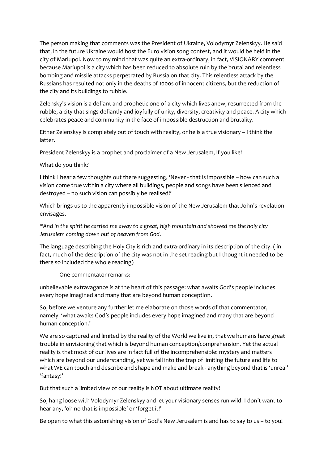The person making that comments was the President of Ukraine, Volodymyr Zelenskyy. He said that, in the future Ukraine would host the Euro vision song contest, and it would be held in the city of Mariupol. Now to my mind that was quite an extra-ordinary, in fact, VISIONARY comment because Mariupol is a city which has been reduced to absolute ruin by the brutal and relentless bombing and missile attacks perpetrated by Russia on that city. This relentless attack by the Russians has resulted not only in the deaths of 1000s of innocent citizens, but the reduction of the city and its buildings to rubble.

Zelensky's vision is a defiant and prophetic one of a city which lives anew, resurrected from the rubble, a city that sings defiantly and joyfully of unity, diversity, creativity and peace. A city which celebrates peace and community in the face of impossible destruction and brutality.

Either Zelenskyy is completely out of touch with reality, or he is a true visionary – I think the latter.

President Zelenskyy is a prophet and proclaimer of a New Jerusalem, if you like!

What do you think?

I think I hear a few thoughts out there suggesting, 'Never - that is impossible – how can such a vision come true within a city where all buildings, people and songs have been silenced and destroyed – no such vision can possibly be realised!'

Which brings us to the apparently impossible vision of the New Jerusalem that John's revelation envisages.

*<sup>10</sup>And in the spirit he carried me away to a great, high mountain and showed me the holy city Jerusalem coming down out of heaven from God.*

The language describing the Holy City is rich and extra-ordinary in its description of the city. ( in fact, much of the description of the city was not in the set reading but I thought it needed to be there so included the whole reading)

One commentator remarks:

unbelievable extravagance is at the heart of this passage: what awaits God's people includes every hope imagined and many that are beyond human conception.

So, before we venture any further let me elaborate on those words of that commentator, namely: 'what awaits God's people includes every hope imagined and many that are beyond human conception.'

We are so captured and limited by the reality of the World we live in, that we humans have great trouble in envisioning that which is beyond human conception/comprehension. Yet the actual reality is that most of our lives are in fact full of the incomprehensible: mystery and matters which are beyond our understanding, yet we fall into the trap of limiting the future and life to what WE can touch and describe and shape and make and break - anything beyond that is 'unreal' 'fantasy!'

But that such a limited view of our reality is NOT about ultimate reality!

So, hang loose with Volodymyr Zelenskyy and let your visionary senses run wild. I don't want to hear any, 'oh no that is impossible' or 'forget it!'

Be open to what this astonishing vision of God's New Jerusalem is and has to say to us – to you!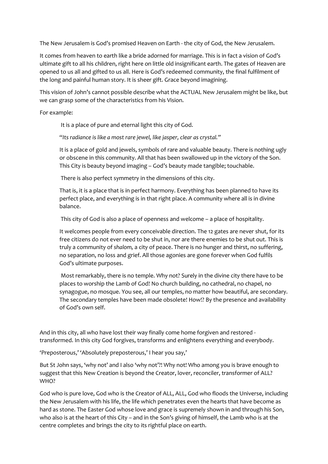The New Jerusalem is God's promised Heaven on Earth - the city of God, the New Jerusalem.

It comes from heaven to earth like a bride adorned for marriage. This is in fact a vision of God's ultimate gift to all his children, right here on little old insignificant earth. The gates of Heaven are opened to us all and gifted to us all. Here is God's redeemed community, the final fulfilment of the long and painful human story. It is sheer gift. Grace beyond imagining.

This vision of John's cannot possible describe what the ACTUAL New Jerusalem might be like, but we can grasp some of the characteristics from his Vision.

For example:

It is a place of pure and eternal light this city of God.

"*Its radiance is like a most rare jewel, like jasper, clear as crystal."*

It is a place of gold and jewels, symbols of rare and valuable beauty. There is nothing ugly or obscene in this community. All that has been swallowed up in the victory of the Son. This City is beauty beyond imaging – God's beauty made tangible; touchable.

There is also perfect symmetry in the dimensions of this city.

That is, it is a place that is in perfect harmony. Everything has been planned to have its perfect place, and everything is in that right place. A community where all is in divine balance.

This city of God is also a place of openness and welcome – a place of hospitality.

It welcomes people from every conceivable direction. The 12 gates are never shut, for its free citizens do not ever need to be shut in, nor are there enemies to be shut out. This is truly a community of *shalom,* a city of peace. There is no hunger and thirst, no suffering, no separation, no loss and grief. All those agonies are gone forever when God fulfils God's ultimate purposes.

Most remarkably, there is no temple. Why not? Surely in the divine city there have to be places to worship the Lamb of God! No church building, no cathedral, no chapel, no synagogue, no mosque. You see, all our temples, no matter how beautiful, are secondary. The secondary temples have been made obsolete! How!? By the presence and availability of God's own self.

And in this city, all who have lost their way finally come home forgiven and restored transformed. In this city God forgives, transforms and enlightens everything and everybody.

'Preposterous,' 'Absolutely preposterous,' I hear you say,'

But St John says, 'why not' and I also 'why not'?! Why not! Who among you is brave enough to suggest that this New Creation is beyond the Creator, lover, reconciler, transformer of ALL? WHO?

God who is pure love, God who is the Creator of ALL, ALL, God who floods the Universe, including the New Jerusalem with his life, the life which penetrates even the hearts that have become as hard as stone. The Easter God whose love and grace is supremely shown in and through his Son, who also is at the heart of this City – and in the Son's giving of himself, the Lamb who is at the centre completes and brings the city to its rightful place on earth.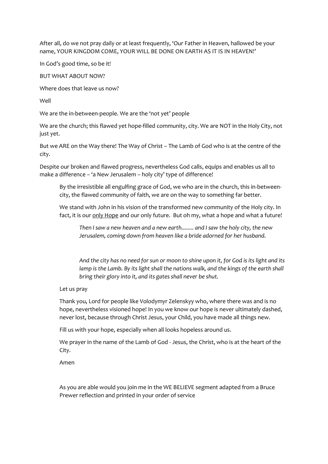After all, do we not pray daily or at least frequently, 'Our Father in Heaven, hallowed be your name, YOUR KINGDOM COME, YOUR WILL BE DONE ON EARTH AS IT IS IN HEAVEN!'

In God's good time, so be it!

BUT WHAT ABOUT NOW?

Where does that leave us now?

Well

We are the in-between-people. We are the 'not yet' people

We are the church; this flawed yet hope-filled community, city. We are NOT in the Holy City, not just yet.

But we ARE on the Way there! The Way of Christ – The Lamb of God who is at the centre of the city.

Despite our broken and flawed progress, nevertheless God calls, equips and enables us all to make a difference – 'a New Jerusalem – holy city' type of difference!

By the irresistible all engulfing grace of God, we who are in the church, this in-betweencity, the flawed community of faith, we are on the way to something far better.

We stand with John in his vision of the transformed new community of the Holy city. In fact, it is our only Hope and our only future. But oh my, what a hope and what a future!

*Then I saw a new heaven and a new earth........ and I saw the holy city, the new Jerusalem, coming down from heaven like a bride adorned for her husband.*

*And the city has no need for sun or moon to shine upon it, for God is its light and its lamp is the Lamb. By its light shall the nations walk, and the kings of the earth shall bring their glory into it, and its gates shall never be shut.*

Let us pray

Thank you, Lord for people like Volodymyr Zelenskyy who, where there was and is no hope, nevertheless visioned hope! In you we know our hope is never ultimately dashed, never lost, because through Christ Jesus, your Child, you have made all things new.

Fill us with your hope, especially when all looks hopeless around us.

We prayer in the name of the Lamb of God - Jesus, the Christ, who is at the heart of the City.

Amen

As you are able would you join me in the WE BELIEVE segment adapted from a Bruce Prewer reflection and printed in your order of service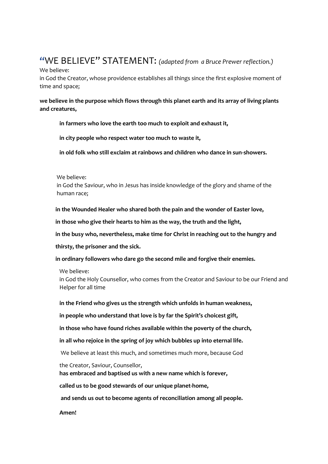#### **"**WE BELIEVE" STATEMENT: *(adapted from a Bruce Prewer reflection.)*

We believe:

in God the Creator, whose providence establishes all things since the first explosive moment of time and space;

#### **we believe in the purpose which flows through this planet earth and its array of living plants and creatures,**

**in farmers who love the earth too much to exploit and exhaust it,**

**in city people who respect water too much to waste it,**

**in old folk who still exclaim at rainbows and children who dance in sun-showers.**

We believe:

 in God the Saviour, who in Jesus has inside knowledge of the glory and shame of the human race;

 **in the Wounded Healer who shared both the pain and the wonder of Easter love,**

 **in those who give their hearts to him as the way, the truth and the light,**

 **in the busy who, nevertheless, make time for Christ in reaching out to the hungry and**

 **thirsty, the prisoner and the sick.**

 **in ordinary followers who dare go the second mile and forgive their enemies.**

We believe:

in God the Holy Counsellor, who comes from the Creator and Saviour to be our Friend and Helper for all time

**in the Friend who gives us the strength which unfolds in human weakness,**

**in people who understand that love is by far the Spirit's choicest gift,**

**in those who have found riches available within the poverty of the church,**

**in all who rejoice in the spring of joy which bubbles up into eternal life.**

We believe at least this much, and sometimes much more, because God

the Creator, Saviour, Counsellor,

**has embraced and baptised us with a new name which is forever,**

**called us to be good stewards of our unique planet-home,**

**and sends us out to become agents of reconciliation among all people.**

**Amen!**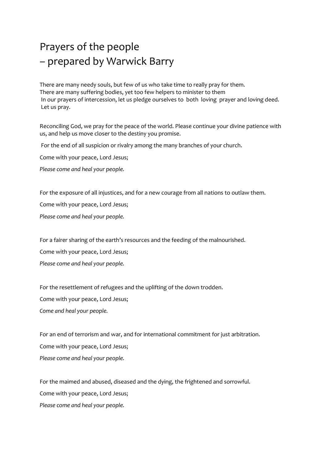### Prayers of the people – prepared by Warwick Barry

There are many needy souls, but few of us who take time to really pray for them. There are many suffering bodies, yet too few helpers to minister to them In our prayers of intercession, let us pledge ourselves to both loving prayer and loving deed. Let us pray.

Reconciling God, we pray for the peace of the world. Please continue your divine patience with us, and help us move closer to the destiny you promise.

For the end of all suspicion or rivalry among the many branches of your church.

Come with your peace, Lord Jesus;

*Please come and heal your people.*

For the exposure of all injustices, and for a new courage from all nations to outlaw them.

Come with your peace, Lord Jesus;

*Please come and heal your people.*

For a fairer sharing of the earth's resources and the feeding of the malnourished.

Come with your peace, Lord Jesus;

*Please come and heal your people.*

For the resettlement of refugees and the uplifting of the down trodden. Come with your peace, Lord Jesus; *Come and heal your people.*

For an end of terrorism and war, and for international commitment for just arbitration. Come with your peace, Lord Jesus; *Please come and heal your people.*

For the maimed and abused, diseased and the dying, the frightened and sorrowful. Come with your peace, Lord Jesus; *Please come and heal your people.*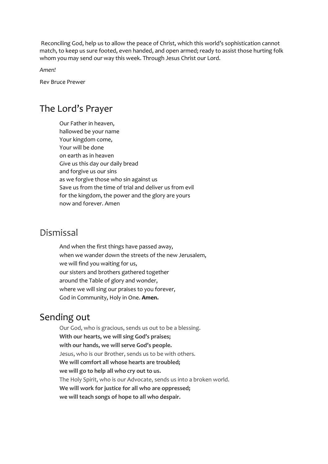Reconciling God, help us to allow the peace of Christ, which this world's sophistication cannot match, to keep us sure footed, even handed, and open armed; ready to assist those hurting folk whom you may send our way this week. Through Jesus Christ our Lord.

*Amen!*

Rev Bruce Prewer

#### The Lord's Prayer

Our Father in heaven, hallowed be your name Your kingdom come, Your will be done on earth as in heaven Give us this day our daily bread and forgive us our sins as we forgive those who sin against us Save us from the time of trial and deliver us from evil for the kingdom, the power and the glory are yours now and forever. Amen

#### Dismissal

And when the first things have passed away, when we wander down the streets of the new Jerusalem, we will find you waiting for us, our sisters and brothers gathered together around the Table of glory and wonder, where we will sing our praises to you forever, God in Community, Holy in One. **Amen.**

#### Sending out

Our God, who is gracious, sends us out to be a blessing. **With our hearts, we will sing God's praises; with our hands, we will serve God's people.** Jesus, who is our Brother, sends us to be with others. **We will comfort all whose hearts are troubled; we will go to help all who cry out to us.** The Holy Spirit, who is our Advocate, sends us into a broken world. **We will work for justice for all who are oppressed; we will teach songs of hope to all who despair.**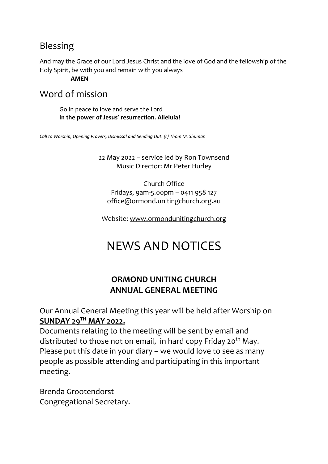#### Blessing

And may the Grace of our Lord Jesus Christ and the love of God and the fellowship of the Holy Spirit, be with you and remain with you always

**AMEN**

#### Word of mission

Go in peace to love and serve the Lord **in the power of Jesus' resurrection. Alleluia!**

*Call to Worship, Opening Prayers, Dismissal and Sending Out: (c) Thom M. Shuman*

22 May 2022 – service led by Ron Townsend Music Director: Mr Peter Hurley

Church Office Fridays, 9am-5.00pm – 0411 958 127 [office@ormond.unitingchurch.org.au](mailto:office@ormond.unitingchurch.org.au)

Website: [www.ormondunitingchurch.org](http://www.ormondunitingchurch.org/)

## NEWS AND NOTICES

#### **ORMOND UNITING CHURCH ANNUAL GENERAL MEETING**

Our Annual General Meeting this year will be held after Worship on **SUNDAY 29TH MAY 2022.**

Documents relating to the meeting will be sent by email and distributed to those not on email, in hard copy Friday 20<sup>th</sup> May. Please put this date in your diary – we would love to see as many people as possible attending and participating in this important meeting.

Brenda Grootendorst Congregational Secretary.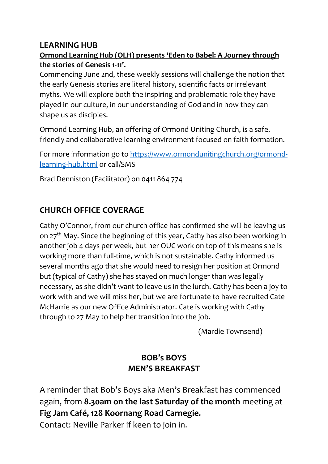#### **LEARNING HUB**

#### **Ormond Learning Hub (OLH) presents 'Eden to Babel: A Journey through the stories of Genesis 1-11'.**

Commencing June 2nd, these weekly sessions will challenge the notion that the early Genesis stories are literal history, scientific facts or irrelevant myths. We will explore both the inspiring and problematic role they have played in our culture, in our understanding of God and in how they can shape us as disciples.

Ormond Learning Hub, an offering of Ormond Uniting Church, is a safe, friendly and collaborative learning environment focused on faith formation.

For more information go to [https://www.ormondunitingchurch.org/ormond](https://www.ormondunitingchurch.org/ormond-learning-hub.html)[learning-hub.html](https://www.ormondunitingchurch.org/ormond-learning-hub.html) or call/SMS

Brad Denniston (Facilitator) on 0411 864 774

#### **CHURCH OFFICE COVERAGE**

Cathy O'Connor, from our church office has confirmed she will be leaving us on 27<sup>th</sup> May. Since the beginning of this year, Cathy has also been working in another job 4 days per week, but her OUC work on top of this means she is working more than full-time, which is not sustainable. Cathy informed us several months ago that she would need to resign her position at Ormond but (typical of Cathy) she has stayed on much longer than was legally necessary, as she didn't want to leave us in the lurch. Cathy has been a joy to work with and we will miss her, but we are fortunate to have recruited Cate McHarrie as our new Office Administrator. Cate is working with Cathy through to 27 May to help her transition into the job.

(Mardie Townsend)

#### **BOB's BOYS MEN'S BREAKFAST**

A reminder that Bob's Boys aka Men's Breakfast has commenced again, from **8.30am on the last Saturday of the month** meeting at **Fig Jam Café, 128 Koornang Road Carnegie.**

Contact: Neville Parker if keen to join in.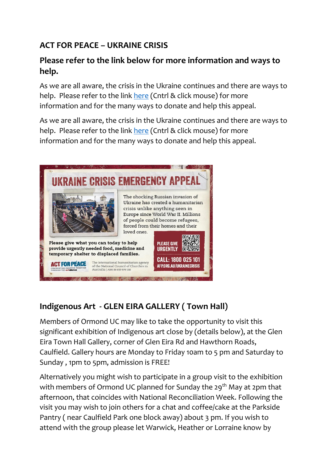#### **ACT FOR PEACE – UKRAINE CRISIS**

#### **Please refer to the link below for more information and ways to help.**

As we are all aware, the crisis in the Ukraine continues and there are ways to help. Please refer to the link [here](https://actforpeace.org.au/take-action/churches/helpukraine-church/?utm_campaign=EM22-MAR-UKR-eDM1-CH&utm_medium=Email&utm_source=ac) (Cntrl & click mouse) for more information and for the many ways to donate and help this appeal.

As we are all aware, the crisis in the Ukraine continues and there are ways to help. Please refer to the link [here](https://actforpeace.org.au/take-action/churches/helpukraine-church/?utm_campaign=EM22-MAR-UKR-eDM1-CH&utm_medium=Email&utm_source=ac) (Cntrl & click mouse) for more information and for the many ways to donate and help this appeal.



#### **Indigenous Art - GLEN EIRA GALLERY ( Town Hall)**

Members of Ormond UC may like to take the opportunity to visit this significant exhibition of Indigenous art close by (details below), at the Glen Eira Town Hall Gallery, corner of Glen Eira Rd and Hawthorn Roads, Caulfield. Gallery hours are Monday to Friday 10am to 5 pm and Saturday to Sunday , 1pm to 5pm, admission is FREE!

Alternatively you might wish to participate in a group visit to the exhibition with members of Ormond UC planned for Sunday the 29<sup>th</sup> May at 2pm that afternoon, that coincides with National Reconciliation Week. Following the visit you may wish to join others for a chat and coffee/cake at the Parkside Pantry ( near Caulfield Park one block away) about 3 pm. If you wish to attend with the group please let Warwick, Heather or Lorraine know by